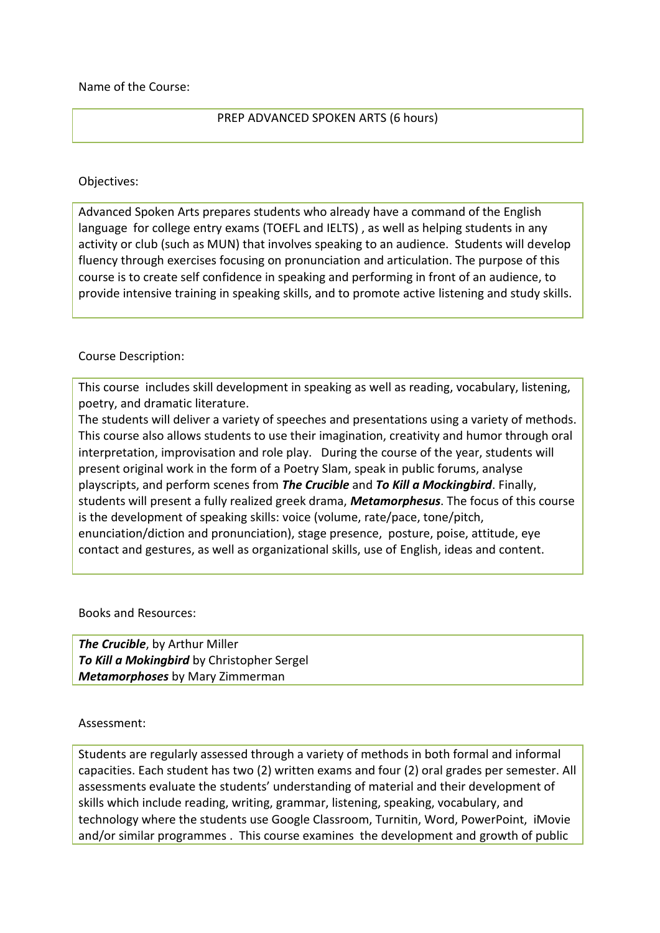Name of the Course:

## PREP ADVANCED SPOKEN ARTS (6 hours)

## Objectives:

Advanced Spoken Arts prepares students who already have a command of the English language for college entry exams (TOEFL and IELTS) , as well as helping students in any activity or club (such as MUN) that involves speaking to an audience. Students will develop fluency through exercises focusing on pronunciation and articulation. The purpose of this course is to create self confidence in speaking and performing in front of an audience, to provide intensive training in speaking skills, and to promote active listening and study skills.

## Course Description:

This course includes skill development in speaking as well as reading, vocabulary, listening, poetry, and dramatic literature.

The students will deliver a variety of speeches and presentations using a variety of methods. This course also allows students to use their imagination, creativity and humor through oral interpretation, improvisation and role play. During the course of the year, students will present original work in the form of a Poetry Slam, speak in public forums, analyse playscripts, and perform scenes from *The Crucible* and *To Kill a Mockingbird*. Finally, students will present a fully realized greek drama, *Metamorphesus*. The focus of this course is the development of speaking skills: voice (volume, rate/pace, tone/pitch, enunciation/diction and pronunciation), stage presence, posture, poise, attitude, eye contact and gestures, as well as organizational skills, use of English, ideas and content.

Books and Resources:

*The Crucible*, by Arthur Miller *To Kill a Mokingbird* by Christopher Sergel *Metamorphoses* by Mary Zimmerman

## Assessment:

Students are regularly assessed through a variety of methods in both formal and informal capacities. Each student has two (2) written exams and four (2) oral grades per semester. All assessments evaluate the students' understanding of material and their development of skills which include reading, writing, grammar, listening, speaking, vocabulary, and technology where the students use Google Classroom, Turnitin, Word, PowerPoint, iMovie and/or similar programmes . This course examines the development and growth of public